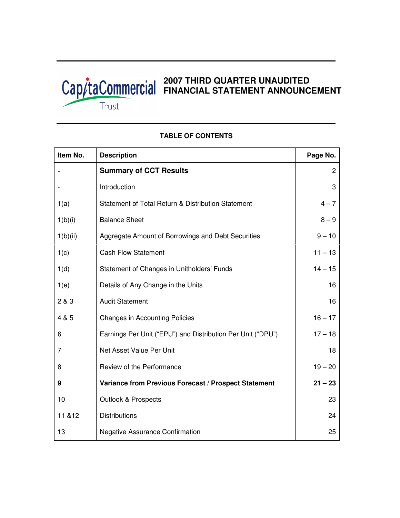

| Item No. | <b>Description</b>                                          | Page No.       |
|----------|-------------------------------------------------------------|----------------|
|          | <b>Summary of CCT Results</b>                               | $\overline{2}$ |
|          | Introduction                                                | 3              |
| 1(a)     | Statement of Total Return & Distribution Statement          | $4 - 7$        |
| 1(b)(i)  | <b>Balance Sheet</b>                                        | $8 - 9$        |
| 1(b)(ii) | Aggregate Amount of Borrowings and Debt Securities          | $9 - 10$       |
| 1(c)     | <b>Cash Flow Statement</b>                                  | $11 - 13$      |
| 1(d)     | Statement of Changes in Unitholders' Funds                  | $14 - 15$      |
| 1(e)     | Details of Any Change in the Units                          | 16             |
| 2 & 3    | <b>Audit Statement</b>                                      | 16             |
| 4 & 5    | <b>Changes in Accounting Policies</b>                       | $16 - 17$      |
| 6        | Earnings Per Unit ("EPU") and Distribution Per Unit ("DPU") | $17 - 18$      |
| 7        | Net Asset Value Per Unit                                    | 18             |
| 8        | Review of the Performance                                   | $19 - 20$      |
| 9        | Variance from Previous Forecast / Prospect Statement        | $21 - 23$      |
| 10       | <b>Outlook &amp; Prospects</b>                              | 23             |
| 11 & 12  | <b>Distributions</b>                                        | 24             |
| 13       | <b>Negative Assurance Confirmation</b>                      | 25             |

# **TABLE OF CONTENTS**

Г

Τ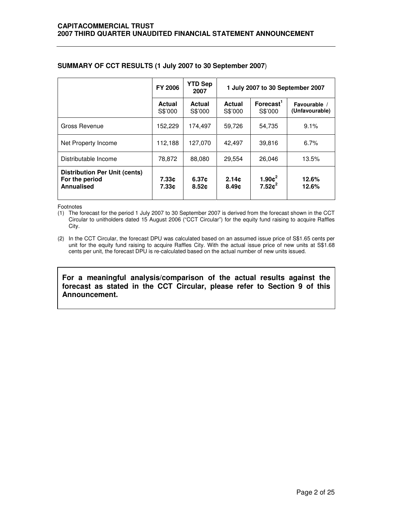|                                                                      | <b>FY 2006</b>    | <b>YTD Sep</b><br>2007 | 1 July 2007 to 30 September 2007 |                                  |                                |  |
|----------------------------------------------------------------------|-------------------|------------------------|----------------------------------|----------------------------------|--------------------------------|--|
|                                                                      | Actual<br>S\$'000 | Actual<br>S\$'000      | Actual<br>S\$'000                | Forecast <sup>1</sup><br>S\$'000 | Favourable /<br>(Unfavourable) |  |
| Gross Revenue                                                        | 152,229           | 174,497                | 59,726                           | 54,735                           | 9.1%                           |  |
| Net Property Income                                                  | 112,188           | 127,070                | 42,497                           | 39.816                           | 6.7%                           |  |
| Distributable Income                                                 | 78,872            | 88,080                 | 29.554                           | 26.046                           | 13.5%                          |  |
| <b>Distribution Per Unit (cents)</b><br>For the period<br>Annualised | 7.33c<br>7.33c    | 6.37c<br>8.52c         | 2.14c<br>8.49c                   | 1.90 $c^2$<br>$7.52c^2$          | 12.6%<br>12.6%                 |  |

# **SUMMARY OF CCT RESULTS (1 July 2007 to 30 September 2007**)

Footnotes

(1) The forecast for the period 1 July 2007 to 30 September 2007 is derived from the forecast shown in the CCT Circular to unitholders dated 15 August 2006 ("CCT Circular") for the equity fund raising to acquire Raffles City.

(2) In the CCT Circular, the forecast DPU was calculated based on an assumed issue price of S\$1.65 cents per unit for the equity fund raising to acquire Raffles City. With the actual issue price of new units at S\$1.68 cents per unit, the forecast DPU is re-calculated based on the actual number of new units issued.

**For a meaningful analysis/comparison of the actual results against the forecast as stated in the CCT Circular, please refer to Section 9 of this Announcement.**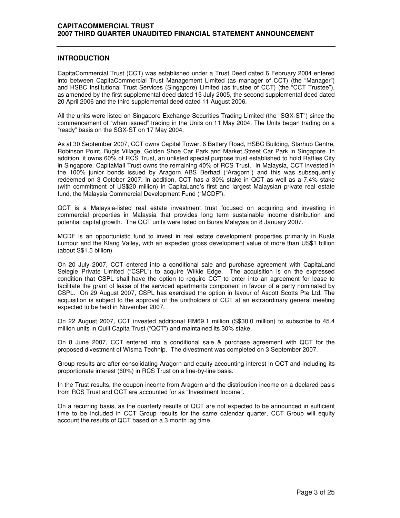### **INTRODUCTION**

CapitaCommercial Trust (CCT) was established under a Trust Deed dated 6 February 2004 entered into between CapitaCommercial Trust Management Limited (as manager of CCT) (the "Manager") and HSBC Institutional Trust Services (Singapore) Limited (as trustee of CCT) (the "CCT Trustee"), as amended by the first supplemental deed dated 15 July 2005, the second supplemental deed dated 20 April 2006 and the third supplemental deed dated 11 August 2006.

All the units were listed on Singapore Exchange Securities Trading Limited (the "SGX-ST") since the commencement of "when issued" trading in the Units on 11 May 2004. The Units began trading on a "ready" basis on the SGX-ST on 17 May 2004.

As at 30 September 2007, CCT owns Capital Tower, 6 Battery Road, HSBC Building, Starhub Centre, Robinson Point, Bugis Village, Golden Shoe Car Park and Market Street Car Park in Singapore. In addition, it owns 60% of RCS Trust, an unlisted special purpose trust established to hold Raffles City in Singapore. CapitaMall Trust owns the remaining 40% of RCS Trust. In Malaysia, CCT invested in the 100% junior bonds issued by Aragorn ABS Berhad ("Aragorn") and this was subsequently redeemed on 3 October 2007. In addition, CCT has a 30% stake in QCT as well as a 7.4% stake (with commitment of US\$20 million) in CapitaLand's first and largest Malaysian private real estate fund, the Malaysia Commercial Development Fund ("MCDF").

QCT is a Malaysia-listed real estate investment trust focused on acquiring and investing in commercial properties in Malaysia that provides long term sustainable income distribution and potential capital growth. The QCT units were listed on Bursa Malaysia on 8 January 2007.

MCDF is an opportunistic fund to invest in real estate development properties primarily in Kuala Lumpur and the Klang Valley, with an expected gross development value of more than US\$1 billion (about S\$1.5 billion).

On 20 July 2007, CCT entered into a conditional sale and purchase agreement with CapitaLand Selegie Private Limited ("CSPL") to acquire Wilkie Edge. The acquisition is on the expressed condition that CSPL shall have the option to require CCT to enter into an agreement for lease to facilitate the grant of lease of the serviced apartments component in favour of a party nominated by CSPL. On 29 August 2007, CSPL has exercised the option in favour of Ascott Scotts Pte Ltd. The acquisition is subject to the approval of the unitholders of CCT at an extraordinary general meeting expected to be held in November 2007.

On 22 August 2007, CCT invested additional RM69.1 million (S\$30.0 million) to subscribe to 45.4 million units in Quill Capita Trust ("QCT") and maintained its 30% stake.

On 8 June 2007, CCT entered into a conditional sale & purchase agreement with QCT for the proposed divestment of Wisma Technip. The divestment was completed on 3 September 2007.

Group results are after consolidating Aragorn and equity accounting interest in QCT and including its proportionate interest (60%) in RCS Trust on a line-by-line basis.

In the Trust results, the coupon income from Aragorn and the distribution income on a declared basis from RCS Trust and QCT are accounted for as "Investment Income".

On a recurring basis, as the quarterly results of QCT are not expected to be announced in sufficient time to be included in CCT Group results for the same calendar quarter, CCT Group will equity account the results of QCT based on a 3 month lag time.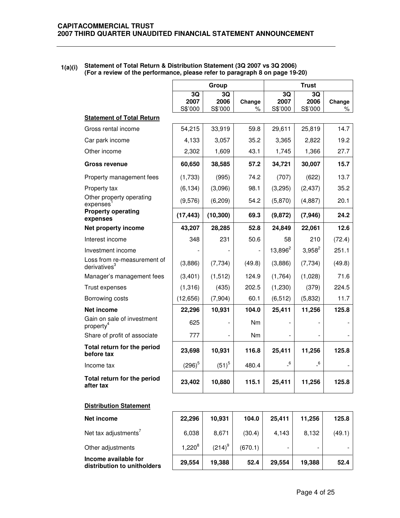|                                                         |                       | Group                 |             |                            | <b>Trust</b>               |             |
|---------------------------------------------------------|-----------------------|-----------------------|-------------|----------------------------|----------------------------|-------------|
|                                                         | 3Q<br>2007<br>S\$'000 | 3Q<br>2006<br>S\$'000 | Change<br>% | 3Q<br>2007<br>S\$'000      | 3Q<br>2006<br>S\$'000      | Change<br>% |
| <b>Statement of Total Return</b>                        |                       |                       |             |                            |                            |             |
| Gross rental income                                     | 54,215                | 33,919                | 59.8        | 29,611                     | 25,819                     | 14.7        |
| Car park income                                         | 4,133                 | 3,057                 | 35.2        | 3,365                      | 2,822                      | 19.2        |
| Other income                                            | 2,302                 | 1,609                 | 43.1        | 1,745                      | 1,366                      | 27.7        |
| Gross revenue                                           | 60,650                | 38,585                | 57.2        | 34,721                     | 30,007                     | 15.7        |
| Property management fees                                | (1,733)               | (995)                 | 74.2        | (707)                      | (622)                      | 13.7        |
| Property tax                                            | (6, 134)              | (3,096)               | 98.1        | (3,295)                    | (2, 437)                   | 35.2        |
| Other property operating<br>expenses                    | (9,576)               | (6, 209)              | 54.2        | (5,870)                    | (4,887)                    | 20.1        |
| <b>Property operating</b><br>expenses                   | (17, 443)             | (10, 300)             | 69.3        | (9, 872)                   | (7, 946)                   | 24.2        |
| Net property income                                     | 43,207                | 28,285                | 52.8        | 24,849                     | 22,061                     | 12.6        |
| Interest income                                         | 348                   | 231                   | 50.6        | 58                         | 210                        | (72.4)      |
| Investment income                                       |                       |                       |             | 13,896 <sup>2</sup>        | $3,958^2$                  | 251.1       |
| Loss from re-measurement of<br>derivatives <sup>3</sup> | (3,886)               | (7, 734)              | (49.8)      | (3,886)                    | (7, 734)                   | (49.8)      |
| Manager's management fees                               | (3,401)               | (1, 512)              | 124.9       | (1,764)                    | (1,028)                    | 71.6        |
| Trust expenses                                          | (1,316)               | (435)                 | 202.5       | (1,230)                    | (379)                      | 224.5       |
| Borrowing costs                                         | (12, 656)             | (7,904)               | 60.1        | (6, 512)                   | (5,832)                    | 11.7        |
| Net income                                              | 22,296                | 10,931                | 104.0       | 25,411                     | 11,256                     | 125.8       |
| Gain on sale of investment<br>property <sup>4</sup>     | 625                   |                       | Nm          |                            |                            |             |
| Share of profit of associate                            | 777                   |                       | Nm          |                            |                            |             |
| Total return for the period<br>before tax               | 23,698                | 10,931                | 116.8       | 25,411                     | 11,256                     | 125.8       |
| Income tax                                              | $(296)^5$             | $(51)^5$              | 480.4       | $\overline{\phantom{0}}^6$ | $\overline{\phantom{0}}^6$ |             |
| Total return for the period<br>after tax                | 23,402                | 10,880                | 115.1       | 25,411                     | 11,256                     | 125.8       |

### **1(a)(i) Statement of Total Return & Distribution Statement (3Q 2007 vs 3Q 2006) (For a review of the performance, please refer to paragraph 8 on page 19-20)**

## **Distribution Statement**

| Net income                                          | 22.296      | 10,931    | 104.0   | 25.411 | 11.256 | 125.8  |
|-----------------------------------------------------|-------------|-----------|---------|--------|--------|--------|
| Net tax adjustments <sup>'</sup>                    | 6,038       | 8.671     | (30.4)  | 4.143  | 8,132  | (49.1) |
| Other adjustments                                   | $1.220^{8}$ | $(214)^9$ | (670.1) |        |        |        |
| Income available for<br>distribution to unitholders | 29,554      | 19,388    | 52.4    | 29.554 | 19,388 | 52.4   |

 $\overline{\phantom{a}}$ 

 $\mathbf{r}$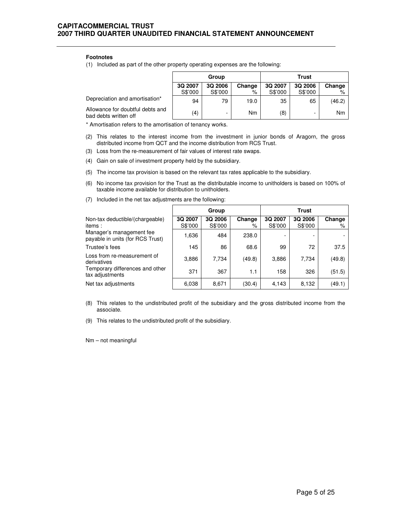#### **Footnotes**

(1) Included as part of the other property operating expenses are the following:

|                                                           | Group   |                          |                | Trust   |         |        |  |
|-----------------------------------------------------------|---------|--------------------------|----------------|---------|---------|--------|--|
|                                                           | 3Q 2007 | 3Q 2006                  | Change         | 3Q 2007 | 3Q 2006 | Change |  |
|                                                           | S\$'000 | S\$'000                  | %              | S\$'000 | S\$'000 |        |  |
| Depreciation and amortisation*                            | 94      | 79                       | 19.0           | 35      | 65      | (46.2) |  |
| Allowance for doubtful debts and<br>bad debts written off | (4)     | $\overline{\phantom{0}}$ | N <sub>m</sub> | (8)     | -       | Nm     |  |

\* Amortisation refers to the amortisation of tenancy works.

- (2) This relates to the interest income from the investment in junior bonds of Aragorn, the gross distributed income from QCT and the income distribution from RCS Trust.
- (3) Loss from the re-measurement of fair values of interest rate swaps.
- (4) Gain on sale of investment property held by the subsidiary.
- (5) The income tax provision is based on the relevant tax rates applicable to the subsidiary.
- (6) No income tax provision for the Trust as the distributable income to unitholders is based on 100% of taxable income available for distribution to unitholders.
- (7) Included in the net tax adjustments are the following:  $\Gamma$

|                                                              |                    | Group              |             | Trust              |                    |             |  |
|--------------------------------------------------------------|--------------------|--------------------|-------------|--------------------|--------------------|-------------|--|
| Non-tax deductible/(chargeable)<br>items:                    | 3Q 2007<br>S\$'000 | 3Q 2006<br>S\$'000 | Change<br>% | 3Q 2007<br>S\$'000 | 3Q 2006<br>S\$'000 | Change<br>% |  |
| Manager's management fee<br>payable in units (for RCS Trust) | 1,636              | 484                | 238.0       |                    |                    |             |  |
| Trustee's fees                                               | 145                | 86                 | 68.6        | 99                 | 72                 | 37.5        |  |
| Loss from re-measurement of<br>derivatives                   | 3,886              | 7.734              | (49.8)      | 3,886              | 7.734              | (49.8)      |  |
| Temporary differences and other<br>tax adjustments           | 371                | 367                | 1.1         | 158                | 326                | (51.5)      |  |
| Net tax adjustments                                          | 6,038              | 8,671              | (30.4)      | 4,143              | 8,132              | (49.1)      |  |

- (8) This relates to the undistributed profit of the subsidiary and the gross distributed income from the associate.
- (9) This relates to the undistributed profit of the subsidiary.

Nm – not meaningful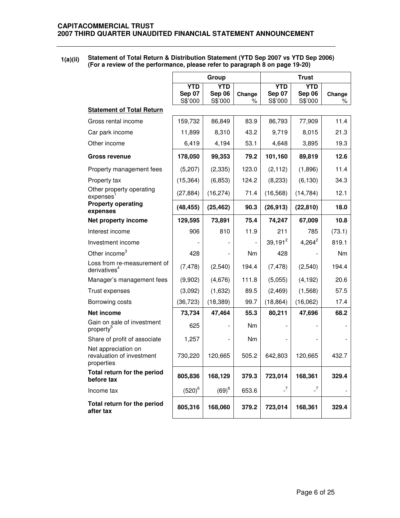**1(a)(ii) Statement of Total Return & Distribution Statement (YTD Sep 2007 vs YTD Sep 2006) (For a review of the performance, please refer to paragraph 8 on page 19-20)** 

|                                                                |                                        | Group                           |                |                                 | <b>Trust</b>                    |             |
|----------------------------------------------------------------|----------------------------------------|---------------------------------|----------------|---------------------------------|---------------------------------|-------------|
|                                                                | <b>YTD</b><br><b>Sep 07</b><br>S\$'000 | <b>YTD</b><br>Sep 06<br>S\$'000 | Change<br>$\%$ | <b>YTD</b><br>Sep 07<br>S\$'000 | <b>YTD</b><br>Sep 06<br>S\$'000 | Change<br>℅ |
| <b>Statement of Total Return</b>                               |                                        |                                 |                |                                 |                                 |             |
| Gross rental income                                            | 159,732                                | 86,849                          | 83.9           | 86,793                          | 77,909                          | 11.4        |
| Car park income                                                | 11,899                                 | 8,310                           | 43.2           | 9,719                           | 8,015                           | 21.3        |
| Other income                                                   | 6,419                                  | 4,194                           | 53.1           | 4,648                           | 3,895                           | 19.3        |
| <b>Gross revenue</b>                                           | 178,050                                | 99,353                          | 79.2           | 101,160                         | 89,819                          | 12.6        |
| Property management fees                                       | (5,207)                                | (2, 335)                        | 123.0          | (2, 112)                        | (1,896)                         | 11.4        |
| Property tax                                                   | (15, 364)                              | (6, 853)                        | 124.2          | (8, 233)                        | (6, 130)                        | 34.3        |
| Other property operating<br>expenses                           | (27, 884)                              | (16, 274)                       | 71.4           | (16, 568)                       | (14, 784)                       | 12.1        |
| <b>Property operating</b><br>expenses                          | (48, 455)                              | (25, 462)                       | 90.3           | (26, 913)                       | (22, 810)                       | 18.0        |
| Net property income                                            | 129,595                                | 73,891                          | 75.4           | 74,247                          | 67,009                          | 10.8        |
| Interest income                                                | 906                                    | 810                             | 11.9           | 211                             | 785                             | (73.1)      |
| Investment income                                              |                                        |                                 |                | $39,191^2$                      | $4,264^2$                       | 819.1       |
| Other income <sup>3</sup>                                      | 428                                    |                                 | Nm             | 428                             |                                 | Nm          |
| Loss from re-measurement of<br>derivatives <sup>4</sup>        | (7, 478)                               | (2,540)                         | 194.4          | (7, 478)                        | (2,540)                         | 194.4       |
| Manager's management fees                                      | (9,902)                                | (4,676)                         | 111.8          | (5,055)                         | (4, 192)                        | 20.6        |
| Trust expenses                                                 | (3,092)                                | (1,632)                         | 89.5           | (2, 469)                        | (1, 568)                        | 57.5        |
| Borrowing costs                                                | (36, 723)                              | (18, 389)                       | 99.7           | (18, 864)                       | (16,062)                        | 17.4        |
| Net income                                                     | 73,734                                 | 47,464                          | 55.3           | 80,211                          | 47,696                          | 68.2        |
| Gain on sale of investment<br>property <sup>5</sup>            | 625                                    |                                 | <b>Nm</b>      |                                 |                                 |             |
| Share of profit of associate                                   | 1,257                                  |                                 | Nm             |                                 |                                 |             |
| Net appreciation on<br>revaluation of investment<br>properties | 730,220                                | 120,665                         | 505.2          | 642,803                         | 120,665                         | 432.7       |
| Total return for the period<br>before tax                      | 805,836                                | 168,129                         | 379.3          | 723,014                         | 168,361                         | 329.4       |
| Income tax                                                     | $(520)^6$                              | $(69)^6$                        | 653.6          | $\overline{\phantom{0}}$        | $\overline{\phantom{0}}$        |             |
| Total return for the period<br>after tax                       | 805,316                                | 168,060                         | 379.2          | 723,014                         | 168,361                         | 329.4       |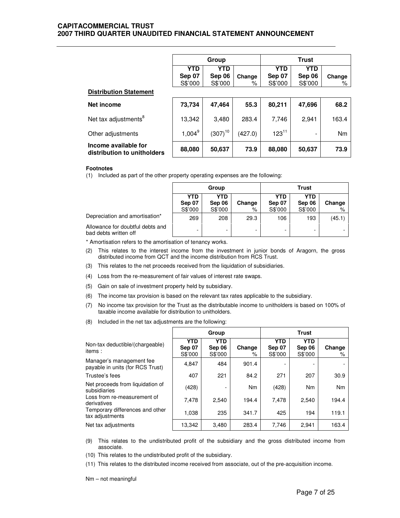## **CAPITACOMMERCIAL TRUST 2007 THIRD QUARTER UNAUDITED FINANCIAL STATEMENT ANNOUNCEMENT**

|                                                     | <b>Trust</b><br>Group |              |         |            |            |        |
|-----------------------------------------------------|-----------------------|--------------|---------|------------|------------|--------|
|                                                     | <b>YTD</b>            | <b>YTD</b>   |         | <b>YTD</b> | <b>YTD</b> |        |
|                                                     | Sep 07                | Sep 06       | Change  | Sep 07     | Sep 06     | Change |
|                                                     | S\$'000               | S\$'000      | ℅       | S\$'000    | S\$'000    | %      |
| <b>Distribution Statement</b>                       |                       |              |         |            |            |        |
| Net income                                          | 73,734                | 47,464       | 55.3    | 80,211     | 47,696     | 68.2   |
| Net tax adjustments <sup>8</sup>                    | 13,342                | 3.480        | 283.4   | 7,746      | 2,941      | 163.4  |
| Other adjustments                                   | $1,004^9$             | $(307)^{10}$ | (427.0) | $123^{11}$ |            | Nm     |
| Income available for<br>distribution to unitholders | 88,080                | 50,637       | 73.9    | 88,080     | 50,637     | 73.9   |

#### **Footnotes**

(1) Included as part of the other property operating expenses are the following:

|                                                           |                          | Group                           |             | <b>Trust</b>                    |                          |             |  |
|-----------------------------------------------------------|--------------------------|---------------------------------|-------------|---------------------------------|--------------------------|-------------|--|
|                                                           | YTD<br>Sep 07<br>S\$'000 | <b>YTD</b><br>Sep 06<br>S\$'000 | Change<br>% | <b>YTD</b><br>Sep 07<br>S\$'000 | YTD<br>Sep 06<br>S\$'000 | Change<br>% |  |
| Depreciation and amortisation*                            | 269                      | 208                             | 29.3        | 106                             | 193                      | (45.1)      |  |
| Allowance for doubtful debts and<br>bad debts written off |                          |                                 | -           |                                 |                          |             |  |

\* Amortisation refers to the amortisation of tenancy works.

- (2) This relates to the interest income from the investment in junior bonds of Aragorn, the gross distributed income from QCT and the income distribution from RCS Trust.
- (3) This relates to the net proceeds received from the liquidation of subsidiaries.
- (4) Loss from the re-measurement of fair values of interest rate swaps.
- (5) Gain on sale of investment property held by subsidiary.
- (6) The income tax provision is based on the relevant tax rates applicable to the subsidiary.
- (7) No income tax provision for the Trust as the distributable income to unitholders is based on 100% of taxable income available for distribution to unitholders.
- (8) Included in the net tax adjustments are the following:

|                                                              |                                 | Group                           |                |                                 | <b>Trust</b>             |             |
|--------------------------------------------------------------|---------------------------------|---------------------------------|----------------|---------------------------------|--------------------------|-------------|
| Non-tax deductible/(chargeable)<br>items:                    | <b>YTD</b><br>Sep 07<br>S\$'000 | <b>YTD</b><br>Sep 06<br>S\$'000 | Change<br>%    | <b>YTD</b><br>Sep 07<br>S\$'000 | YTD<br>Sep 06<br>S\$'000 | Change<br>% |
| Manager's management fee<br>payable in units (for RCS Trust) | 4,847                           | 484                             | 901.4          |                                 |                          |             |
| Trustee's fees                                               | 407                             | 221                             | 84.2           | 271                             | 207                      | 30.9        |
| Net proceeds from liquidation of<br>subsidiaries             | (428)                           |                                 | N <sub>m</sub> | (428)                           | N <sub>m</sub>           | Nm          |
| Loss from re-measurement of<br>derivatives                   | 7,478                           | 2.540                           | 194.4          | 7,478                           | 2,540                    | 194.4       |
| Temporary differences and other<br>tax adjustments           | 1,038                           | 235                             | 341.7          | 425                             | 194                      | 119.1       |
| Net tax adjustments                                          | 13,342                          | 3,480                           | 283.4          | 7,746                           | 2,941                    | 163.4       |

- (9) This relates to the undistributed profit of the subsidiary and the gross distributed income from associate.
- (10) This relates to the undistributed profit of the subsidiary.
- (11) This relates to the distributed income received from associate, out of the pre-acquisition income.

Nm – not meaningful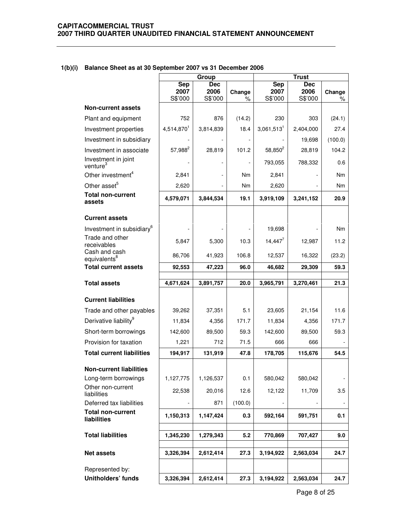# **1(b)(i) Balance Sheet as at 30 September 2007 vs 31 December 2006**

|                                             |                               | Group                         |             |                               | <b>Trust</b>                  |                |  |
|---------------------------------------------|-------------------------------|-------------------------------|-------------|-------------------------------|-------------------------------|----------------|--|
|                                             | <b>Sep</b><br>2007<br>S\$'000 | <b>Dec</b><br>2006<br>S\$'000 | Change<br>% | <b>Sep</b><br>2007<br>S\$'000 | <b>Dec</b><br>2006<br>S\$'000 | Change<br>℅    |  |
| <b>Non-current assets</b>                   |                               |                               |             |                               |                               |                |  |
| Plant and equipment                         | 752                           | 876                           | (14.2)      | 230                           | 303                           | (24.1)         |  |
| Investment properties                       | 4,514,870 <sup>1</sup>        | 3,814,839                     | 18.4        | $3,061,513$ <sup>1</sup>      | 2,404,000                     | 27.4           |  |
| Investment in subsidiary                    |                               |                               |             |                               | 19,698                        | (100.0)        |  |
| Investment in associate                     | $57,988^2$                    | 28,819                        | 101.2       | $58,850^{2}$                  | 28,819                        | 104.2          |  |
| Investment in joint<br>venture <sup>3</sup> |                               |                               |             | 793,055                       | 788,332                       | 0.6            |  |
| Other investment <sup>4</sup>               | 2,841                         |                               | Nm          | 2,841                         |                               | Nm             |  |
| Other asset <sup>5</sup>                    | 2,620                         |                               | Nm          | 2,620                         |                               | Nm             |  |
| <b>Total non-current</b><br>assets          | 4,579,071                     | 3,844,534                     | 19.1        | 3,919,109                     | 3,241,152                     | 20.9           |  |
| <b>Current assets</b>                       |                               |                               |             |                               |                               |                |  |
| Investment in subsidiary <sup>6</sup>       |                               |                               |             | 19,698                        |                               | N <sub>m</sub> |  |
| Trade and other<br>receivables              | 5,847                         | 5,300                         | 10.3        | $14,447^7$                    | 12,987                        | 11.2           |  |
| Cash and cash<br>equivalents <sup>8</sup>   | 86,706                        | 41,923                        | 106.8       | 12,537                        | 16,322                        | (23.2)         |  |
| <b>Total current assets</b>                 | 92,553                        | 47,223                        | 96.0        | 46,682                        | 29,309                        | 59.3           |  |
| <b>Total assets</b>                         | 4,671,624                     | 3,891,757                     | 20.0        | 3,965,791                     | 3,270,461                     | 21.3           |  |
| <b>Current liabilities</b>                  |                               |                               |             |                               |                               |                |  |
| Trade and other payables                    | 39,262                        | 37,351                        | 5.1         | 23,605                        | 21,154                        | 11.6           |  |
| Derivative liability <sup>9</sup>           | 11,834                        | 4,356                         | 171.7       | 11,834                        | 4,356                         | 171.7          |  |
| Short-term borrowings                       | 142,600                       | 89,500                        | 59.3        | 142,600                       | 89,500                        | 59.3           |  |
| Provision for taxation                      | 1,221                         | 712                           | 71.5        | 666                           | 666                           |                |  |
| <b>Total current liabilities</b>            | 194,917                       | 131,919                       | 47.8        | 178,705                       | 115,676                       | 54.5           |  |
| <b>Non-current liabilities</b>              |                               |                               |             |                               |                               |                |  |
| Long-term borrowings                        | 1,127,775                     | 1,126,537                     | 0.1         | 580,042                       | 580,042                       |                |  |
| Other non-current<br>liabilities            | 22,538                        | 20,016                        | 12.6        | 12,122                        | 11,709                        | 3.5            |  |
| Deferred tax liabilities                    |                               | 871                           | (100.0)     |                               |                               |                |  |
| <b>Total non-current</b><br>liabilities     | 1,150,313                     | 1,147,424                     | 0.3         | 592,164                       | 591,751                       | 0.1            |  |
| <b>Total liabilities</b>                    | 1,345,230                     | 1,279,343                     | 5.2         | 770,869                       | 707,427                       | 9.0            |  |
| <b>Net assets</b>                           | 3,326,394                     | 2,612,414                     | 27.3        | 3,194,922                     | 2,563,034                     | 24.7           |  |
| Represented by:                             |                               |                               |             |                               |                               |                |  |
| Unitholders' funds                          | 3,326,394                     | 2,612,414                     | 27.3        | 3,194,922                     | 2,563,034                     | 24.7           |  |
|                                             |                               |                               |             |                               |                               |                |  |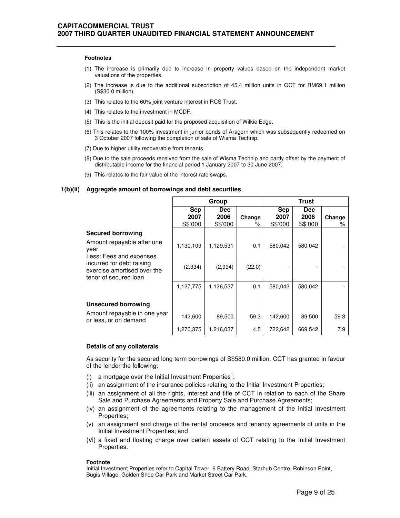#### **Footnotes**

- (1) The increase is primarily due to increase in property values based on the independent market valuations of the properties.
- (2) The increase is due to the additional subscription of 45.4 million units in QCT for RM69.1 million (S\$30.0 million).
- (3) This relates to the 60% joint venture interest in RCS Trust.
- (4) This relates to the investment in MCDF.
- (5) This is the initial deposit paid for the proposed acquisition of Wilkie Edge.
- (6) This relates to the 100% investment in junior bonds of Aragorn which was subsequently redeemed on 3 October 2007 following the completion of sale of Wisma Technip.
- (7) Due to higher utility recoverable from tenants.
- (8) Due to the sale proceeds received from the sale of Wisma Technip and partly offset by the payment of distributable income for the financial period 1 January 2007 to 30 June 2007.
- (9) This relates to the fair value of the interest rate swaps.

#### **1(b)(ii) Aggregate amount of borrowings and debt securities**

|                                                                                   |                               | Group                         |             |                               | <b>Trust</b>                  |             |
|-----------------------------------------------------------------------------------|-------------------------------|-------------------------------|-------------|-------------------------------|-------------------------------|-------------|
|                                                                                   | <b>Sep</b><br>2007<br>S\$'000 | <b>Dec</b><br>2006<br>S\$'000 | Change<br>% | <b>Sep</b><br>2007<br>S\$'000 | <b>Dec</b><br>2006<br>S\$'000 | Change<br>% |
| <b>Secured borrowing</b>                                                          |                               |                               |             |                               |                               |             |
| Amount repayable after one<br>year<br>Less: Fees and expenses                     | 1,130,109                     | 1,129,531                     | 0.1         | 580,042                       | 580,042                       |             |
| incurred for debt raising<br>exercise amortised over the<br>tenor of secured loan | (2, 334)                      | (2,994)                       | (22.0)      |                               |                               |             |
|                                                                                   | 1,127,775                     | 1,126,537                     | 0.1         | 580,042                       | 580,042                       |             |
| <b>Unsecured borrowing</b>                                                        |                               |                               |             |                               |                               |             |
| Amount repayable in one year<br>or less, or on demand                             | 142,600                       | 89,500                        | 59.3        | 142,600                       | 89,500                        | 59.3        |
|                                                                                   | 1,270,375                     | 1,216,037                     | 4.5         | 722,642                       | 669,542                       | 7.9         |

#### **Details of any collaterals**

As security for the secured long term borrowings of S\$580.0 million, CCT has granted in favour of the lender the following:

- (i) a mortgage over the Initial Investment Properties<sup>1</sup>;
- (ii) an assignment of the insurance policies relating to the Initial Investment Properties;
- (iii) an assignment of all the rights, interest and title of CCT in relation to each of the Share Sale and Purchase Agreements and Property Sale and Purchase Agreements;
- (iv) an assignment of the agreements relating to the management of the Initial Investment Properties;
- (v) an assignment and charge of the rental proceeds and tenancy agreements of units in the Initial Investment Properties; and
- (vi) a fixed and floating charge over certain assets of CCT relating to the Initial Investment Properties.

#### **Footnote**

Initial Investment Properties refer to Capital Tower, 6 Battery Road, Starhub Centre, Robinson Point, Bugis Village, Golden Shoe Car Park and Market Street Car Park.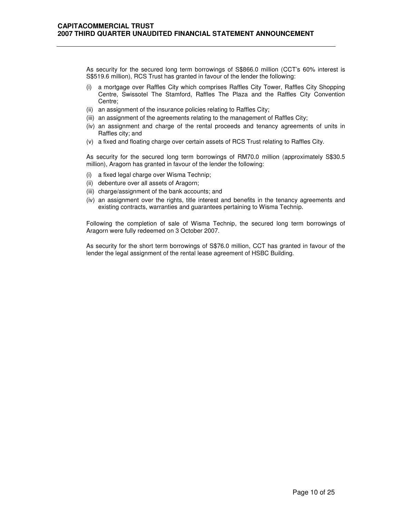As security for the secured long term borrowings of S\$866.0 million (CCT's 60% interest is S\$519.6 million), RCS Trust has granted in favour of the lender the following:

- (i) a mortgage over Raffles City which comprises Raffles City Tower, Raffles City Shopping Centre, Swissotel The Stamford, Raffles The Plaza and the Raffles City Convention Centre;
- (ii) an assignment of the insurance policies relating to Raffles City;
- (iii) an assignment of the agreements relating to the management of Raffles City;
- (iv) an assignment and charge of the rental proceeds and tenancy agreements of units in Raffles city; and
- (v) a fixed and floating charge over certain assets of RCS Trust relating to Raffles City.

As security for the secured long term borrowings of RM70.0 million (approximately S\$30.5 million), Aragorn has granted in favour of the lender the following:

- (i) a fixed legal charge over Wisma Technip;
- (ii) debenture over all assets of Aragorn;
- (iii) charge/assignment of the bank accounts; and
- (iv) an assignment over the rights, title interest and benefits in the tenancy agreements and existing contracts, warranties and guarantees pertaining to Wisma Technip.

Following the completion of sale of Wisma Technip, the secured long term borrowings of Aragorn were fully redeemed on 3 October 2007.

As security for the short term borrowings of S\$76.0 million, CCT has granted in favour of the lender the legal assignment of the rental lease agreement of HSBC Building.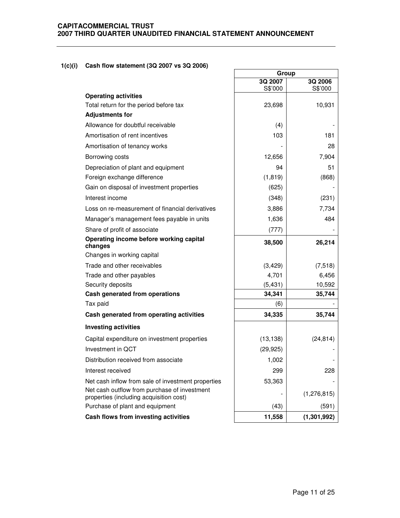# **CAPITACOMMERCIAL TRUST 2007 THIRD QUARTER UNAUDITED FINANCIAL STATEMENT ANNOUNCEMENT**

# **1(c)(i) Cash flow statement (3Q 2007 vs 3Q 2006)**

|                                                                                         | Group     |               |
|-----------------------------------------------------------------------------------------|-----------|---------------|
|                                                                                         | 3Q 2007   | 3Q 2006       |
| <b>Operating activities</b>                                                             | S\$'000   | S\$'000       |
| Total return for the period before tax                                                  | 23,698    | 10,931        |
| <b>Adjustments for</b>                                                                  |           |               |
| Allowance for doubtful receivable                                                       | (4)       |               |
| Amortisation of rent incentives                                                         | 103       | 181           |
| Amortisation of tenancy works                                                           |           | 28            |
| Borrowing costs                                                                         | 12,656    | 7,904         |
| Depreciation of plant and equipment                                                     | 94        | 51            |
| Foreign exchange difference                                                             | (1, 819)  | (868)         |
| Gain on disposal of investment properties                                               | (625)     |               |
| Interest income                                                                         | (348)     | (231)         |
| Loss on re-measurement of financial derivatives                                         | 3,886     | 7,734         |
| Manager's management fees payable in units                                              | 1,636     | 484           |
| Share of profit of associate                                                            | (777)     |               |
| Operating income before working capital<br>changes                                      | 38,500    | 26,214        |
| Changes in working capital                                                              |           |               |
| Trade and other receivables                                                             | (3, 429)  | (7, 518)      |
| Trade and other payables                                                                | 4,701     | 6,456         |
| Security deposits                                                                       | (5, 431)  | 10,592        |
| Cash generated from operations                                                          | 34,341    | 35,744        |
| Tax paid                                                                                | (6)       |               |
| Cash generated from operating activities                                                | 34,335    | 35,744        |
| <b>Investing activities</b>                                                             |           |               |
| Capital expenditure on investment properties                                            | (13, 138) | (24, 814)     |
| Investment in QCT                                                                       | (29, 925) |               |
| Distribution received from associate                                                    | 1,002     |               |
| Interest received                                                                       | 299       | 228           |
| Net cash inflow from sale of investment properties                                      | 53,363    |               |
| Net cash outflow from purchase of investment<br>properties (including acquisition cost) |           | (1, 276, 815) |
| Purchase of plant and equipment                                                         | (43)      | (591)         |
| Cash flows from investing activities                                                    | 11,558    | (1, 301, 992) |

٦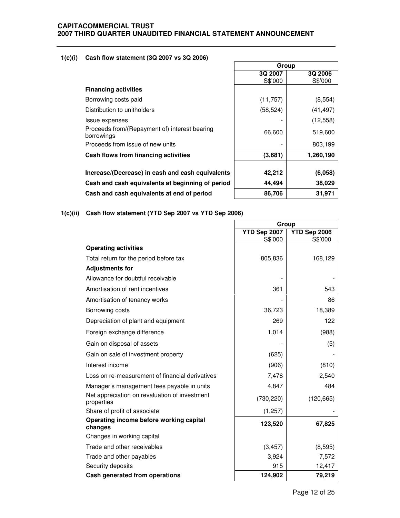# **CAPITACOMMERCIAL TRUST 2007 THIRD QUARTER UNAUDITED FINANCIAL STATEMENT ANNOUNCEMENT**

# **1(c)(i) Cash flow statement (3Q 2007 vs 3Q 2006)**

|                                                             | Group     |           |
|-------------------------------------------------------------|-----------|-----------|
|                                                             | 3Q 2007   | 3Q 2006   |
|                                                             | S\$'000   | S\$'000   |
| <b>Financing activities</b>                                 |           |           |
| Borrowing costs paid                                        | (11,757)  | (8, 554)  |
| Distribution to unitholders                                 | (58, 524) | (41, 497) |
| Issue expenses                                              |           | (12, 558) |
| Proceeds from/(Repayment of) interest bearing<br>borrowings | 66,600    | 519,600   |
| Proceeds from issue of new units                            |           | 803,199   |
| Cash flows from financing activities                        | (3,681)   | 1,260,190 |
| Increase/(Decrease) in cash and cash equivalents            | 42,212    | (6,058)   |
| Cash and cash equivalents at beginning of period            | 44.494    | 38,029    |

٦

**Cash and cash equivalents at end of period**  $86,706$  **31,971** 

# **1(c)(ii) Cash flow statement (YTD Sep 2007 vs YTD Sep 2006)**

|                                                             | Group                   |                         |
|-------------------------------------------------------------|-------------------------|-------------------------|
|                                                             | YTD Sep 2007<br>S\$'000 | YTD Sep 2006<br>S\$'000 |
| <b>Operating activities</b>                                 |                         |                         |
| Total return for the period before tax                      | 805,836                 | 168,129                 |
| <b>Adjustments for</b>                                      |                         |                         |
| Allowance for doubtful receivable                           |                         |                         |
| Amortisation of rent incentives                             | 361                     | 543                     |
| Amortisation of tenancy works                               |                         | 86                      |
| Borrowing costs                                             | 36,723                  | 18,389                  |
| Depreciation of plant and equipment                         | 269                     | 122                     |
| Foreign exchange difference                                 | 1,014                   | (988)                   |
| Gain on disposal of assets                                  |                         | (5)                     |
| Gain on sale of investment property                         | (625)                   |                         |
| Interest income                                             | (906)                   | (810)                   |
| Loss on re-measurement of financial derivatives             | 7,478                   | 2,540                   |
| Manager's management fees payable in units                  | 4,847                   | 484                     |
| Net appreciation on revaluation of investment<br>properties | (730, 220)              | (120, 665)              |
| Share of profit of associate                                | (1,257)                 |                         |
| Operating income before working capital<br>changes          | 123,520                 | 67,825                  |
| Changes in working capital                                  |                         |                         |
| Trade and other receivables                                 | (3, 457)                | (8,595)                 |
| Trade and other payables                                    | 3,924                   | 7,572                   |
| Security deposits                                           | 915                     | 12,417                  |
| Cash generated from operations                              | 124,902                 | 79,219                  |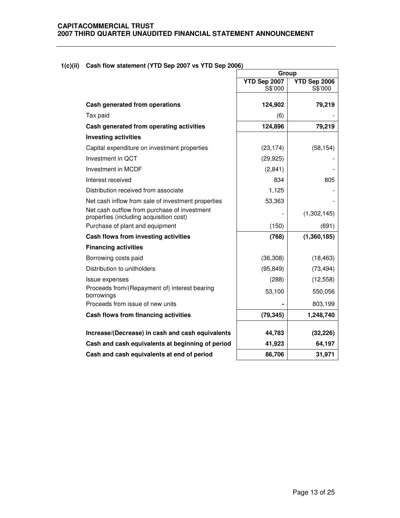**1(c)(ii) Cash flow statement (YTD Sep 2007 vs YTD Sep 2006)** 

|                                                                                         | Group                   |                         |
|-----------------------------------------------------------------------------------------|-------------------------|-------------------------|
|                                                                                         | YTD Sep 2007<br>S\$'000 | YTD Sep 2006<br>S\$'000 |
| Cash generated from operations                                                          | 124,902                 | 79,219                  |
| Tax paid                                                                                | (6)                     |                         |
| Cash generated from operating activities                                                | 124,896                 | 79,219                  |
| <b>Investing activities</b>                                                             |                         |                         |
| Capital expenditure on investment properties                                            | (23, 174)               | (58, 154)               |
| Investment in QCT                                                                       | (29, 925)               |                         |
| Investment in MCDF                                                                      | (2,841)                 |                         |
| Interest received                                                                       | 834                     | 805                     |
| Distribution received from associate                                                    | 1,125                   |                         |
| Net cash inflow from sale of investment properties                                      | 53,363                  |                         |
| Net cash outflow from purchase of investment<br>properties (including acquisition cost) |                         | (1,302,145)             |
| Purchase of plant and equipment                                                         | (150)                   | (691)                   |
| Cash flows from investing activities                                                    | (768)                   | (1,360,185)             |
| <b>Financing activities</b>                                                             |                         |                         |
| Borrowing costs paid                                                                    | (36, 308)               | (18, 463)               |
| Distribution to unitholders                                                             | (95, 849)               | (73, 494)               |
| Issue expenses                                                                          | (288)                   | (12, 558)               |
| Proceeds from/(Repayment of) interest bearing<br>borrowings                             | 53,100                  | 550,056                 |
| Proceeds from issue of new units                                                        |                         | 803,199                 |
| Cash flows from financing activities                                                    | (79, 345)               | 1,248,740               |
| Increase/(Decrease) in cash and cash equivalents                                        | 44,783                  | (32, 226)               |
| Cash and cash equivalents at beginning of period                                        | 41,923                  | 64,197                  |
| Cash and cash equivalents at end of period                                              | 86,706                  | 31,971                  |

٦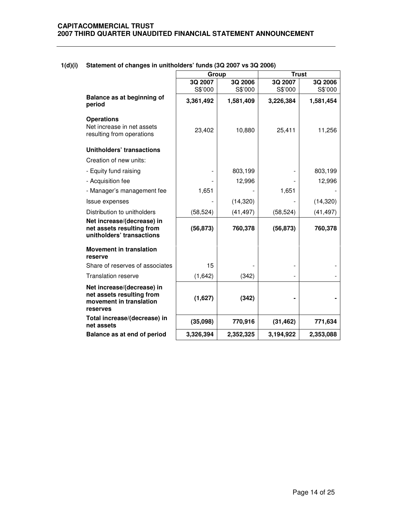|                                                                                                | Group     |           | <b>Trust</b> |           |
|------------------------------------------------------------------------------------------------|-----------|-----------|--------------|-----------|
|                                                                                                | 3Q 2007   | 3Q 2006   | 3Q 2007      | 3Q 2006   |
|                                                                                                | S\$'000   | S\$'000   | S\$'000      | S\$'000   |
| Balance as at beginning of<br>period                                                           | 3,361,492 | 1,581,409 | 3,226,384    | 1,581,454 |
| <b>Operations</b><br>Net increase in net assets<br>resulting from operations                   | 23,402    | 10,880    | 25,411       | 11,256    |
| <b>Unitholders' transactions</b>                                                               |           |           |              |           |
| Creation of new units:                                                                         |           |           |              |           |
| - Equity fund raising                                                                          |           | 803,199   |              | 803,199   |
| - Acquisition fee                                                                              |           | 12,996    |              | 12,996    |
| - Manager's management fee                                                                     | 1,651     |           | 1,651        |           |
| Issue expenses                                                                                 |           | (14,320)  |              | (14,320)  |
| Distribution to unitholders                                                                    | (58, 524) | (41, 497) | (58, 524)    | (41, 497) |
| Net increase/(decrease) in<br>net assets resulting from<br>unitholders' transactions           | (56, 873) | 760,378   | (56, 873)    | 760,378   |
| <b>Movement in translation</b><br>reserve                                                      |           |           |              |           |
| Share of reserves of associates                                                                | 15        |           |              |           |
| <b>Translation reserve</b>                                                                     | (1,642)   | (342)     |              |           |
| Net increase/(decrease) in<br>net assets resulting from<br>movement in translation<br>reserves | (1,627)   | (342)     |              |           |
| Total increase/(decrease) in<br>net assets                                                     | (35,098)  | 770,916   | (31, 462)    | 771,634   |
| Balance as at end of period                                                                    | 3,326,394 | 2,352,325 | 3,194,922    | 2,353,088 |

# **1(d)(i) Statement of changes in unitholders' funds (3Q 2007 vs 3Q 2006)**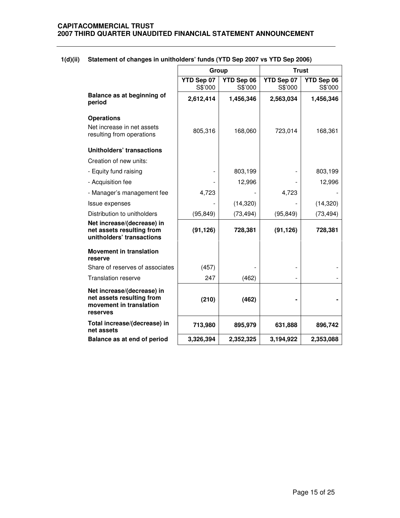|                                                                                                |                       |                       | <b>Trust</b>          |                       |
|------------------------------------------------------------------------------------------------|-----------------------|-----------------------|-----------------------|-----------------------|
|                                                                                                | Group                 |                       |                       |                       |
|                                                                                                | YTD Sep 07<br>S\$'000 | YTD Sep 06<br>S\$'000 | YTD Sep 07<br>S\$'000 | YTD Sep 06<br>S\$'000 |
| Balance as at beginning of<br>period                                                           | 2,612,414             | 1,456,346             | 2,563,034             | 1,456,346             |
| <b>Operations</b>                                                                              |                       |                       |                       |                       |
| Net increase in net assets<br>resulting from operations                                        | 805,316               | 168,060               | 723,014               | 168,361               |
| <b>Unitholders' transactions</b>                                                               |                       |                       |                       |                       |
| Creation of new units:                                                                         |                       |                       |                       |                       |
| - Equity fund raising                                                                          |                       | 803,199               |                       | 803,199               |
| - Acquisition fee                                                                              |                       | 12,996                |                       | 12,996                |
| - Manager's management fee                                                                     | 4,723                 |                       | 4,723                 |                       |
| Issue expenses                                                                                 |                       | (14, 320)             |                       | (14, 320)             |
| Distribution to unitholders                                                                    | (95, 849)             | (73, 494)             | (95, 849)             | (73, 494)             |
| Net increase/(decrease) in<br>net assets resulting from<br>unitholders' transactions           | (91, 126)             | 728,381               | (91, 126)             | 728,381               |
| <b>Movement in translation</b><br>reserve                                                      |                       |                       |                       |                       |
| Share of reserves of associates                                                                | (457)                 |                       |                       |                       |
| <b>Translation reserve</b>                                                                     | 247                   | (462)                 |                       |                       |
| Net increase/(decrease) in<br>net assets resulting from<br>movement in translation<br>reserves | (210)                 | (462)                 |                       |                       |
| Total increase/(decrease) in<br>net assets                                                     | 713,980               | 895,979               | 631,888               | 896,742               |
| Balance as at end of period                                                                    | 3,326,394             | 2,352,325             | 3,194,922             | 2,353,088             |

# **1(d)(ii) Statement of changes in unitholders' funds (YTD Sep 2007 vs YTD Sep 2006)**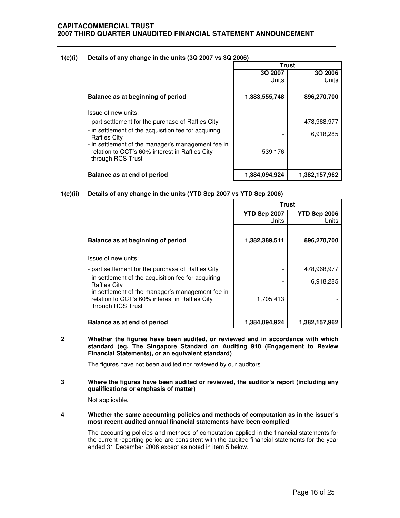### **1(e)(i) Details of any change in the units (3Q 2007 vs 3Q 2006)**

|                                                                                                                           | <b>Trust</b>  |               |
|---------------------------------------------------------------------------------------------------------------------------|---------------|---------------|
|                                                                                                                           | 3Q 2007       | 3Q 2006       |
|                                                                                                                           | Units         | Units         |
| Balance as at beginning of period                                                                                         | 1,383,555,748 | 896,270,700   |
| Issue of new units:                                                                                                       |               |               |
| - part settlement for the purchase of Raffles City                                                                        |               | 478,968,977   |
| - in settlement of the acquisition fee for acquiring<br><b>Raffles City</b>                                               |               | 6,918,285     |
| - in settlement of the manager's management fee in<br>relation to CCT's 60% interest in Raffles City<br>through RCS Trust | 539,176       |               |
| Balance as at end of period                                                                                               | 1,384,094,924 | 1,382,157,962 |

**1(e)(ii) Details of any change in the units (YTD Sep 2007 vs YTD Sep 2006)**

|                                                                                                                           | <b>Trust</b>          |                       |
|---------------------------------------------------------------------------------------------------------------------------|-----------------------|-----------------------|
|                                                                                                                           | YTD Sep 2007<br>Units | YTD Sep 2006<br>Units |
| Balance as at beginning of period                                                                                         | 1,382,389,511         | 896,270,700           |
| Issue of new units:                                                                                                       |                       |                       |
| - part settlement for the purchase of Raffles City                                                                        |                       | 478,968,977           |
| - in settlement of the acquisition fee for acquiring<br><b>Raffles City</b>                                               |                       | 6,918,285             |
| - in settlement of the manager's management fee in<br>relation to CCT's 60% interest in Raffles City<br>through RCS Trust | 1,705,413             |                       |
| Balance as at end of period                                                                                               | 1,384,094,924         | 1,382,157,962         |

**2 Whether the figures have been audited, or reviewed and in accordance with which standard (eg. The Singapore Standard on Auditing 910 (Engagement to Review Financial Statements), or an equivalent standard)** 

The figures have not been audited nor reviewed by our auditors.

**3 Where the figures have been audited or reviewed, the auditor's report (including any qualifications or emphasis of matter)** 

Not applicable.

**4 Whether the same accounting policies and methods of computation as in the issuer's most recent audited annual financial statements have been complied** 

The accounting policies and methods of computation applied in the financial statements for the current reporting period are consistent with the audited financial statements for the year ended 31 December 2006 except as noted in item 5 below.

I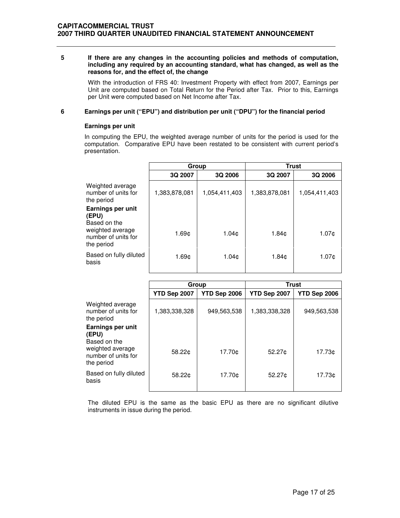### **5 If there are any changes in the accounting policies and methods of computation, including any required by an accounting standard, what has changed, as well as the reasons for, and the effect of, the change**

 With the introduction of FRS 40: Investment Property with effect from 2007, Earnings per Unit are computed based on Total Return for the Period after Tax. Prior to this, Earnings per Unit were computed based on Net Income after Tax.

### **6 Earnings per unit ("EPU") and distribution per unit ("DPU") for the financial period**

### **Earnings per unit**

In computing the EPU, the weighted average number of units for the period is used for the computation. Comparative EPU have been restated to be consistent with current period's presentation.

|                                                       | Group             |                   | <b>Trust</b>  |               |
|-------------------------------------------------------|-------------------|-------------------|---------------|---------------|
|                                                       | 3Q 2007           | 3Q 2006           | 3Q 2007       | 3Q 2006       |
| Weighted average<br>number of units for<br>the period | 1,383,878,081     | 1,054,411,403     | 1,383,878,081 | 1,054,411,403 |
| Earnings per unit<br>(EPU)<br>Based on the            |                   |                   |               |               |
| weighted average<br>number of units for<br>the period | 1.69 <sub>¢</sub> | 1.04 <sub>c</sub> | 1.84¢         | 1.07¢         |
| Based on fully diluted<br>basis                       | 1.69 <sub>¢</sub> | 1.04c             | 1.84¢         | 1.07¢         |

|                                                                | Group         |              | <b>Trust</b>       |              |
|----------------------------------------------------------------|---------------|--------------|--------------------|--------------|
|                                                                | YTD Sep 2007  | YTD Sep 2006 | YTD Sep 2007       | YTD Sep 2006 |
| Weighted average<br>number of units for<br>the period          | 1,383,338,328 | 949,563,538  | 1,383,338,328      | 949,563,538  |
| Earnings per unit<br>(EPU)<br>Based on the<br>weighted average |               |              |                    |              |
| number of units for<br>the period                              | 58.22¢        | 17.70¢       | 52.27 <sub>0</sub> | 17.73¢       |
| Based on fully diluted<br>basis                                | 58.22¢        | 17.70¢       | 52.27c             | 17.73¢       |

The diluted EPU is the same as the basic EPU as there are no significant dilutive instruments in issue during the period.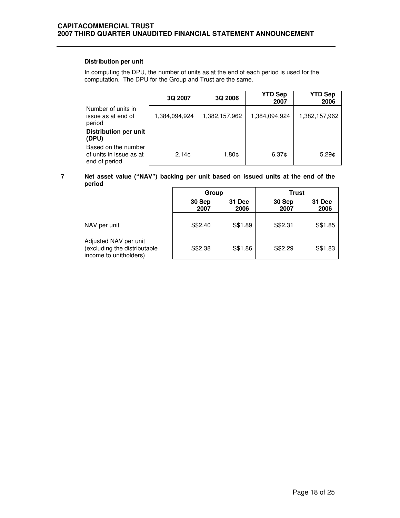# **Distribution per unit**

In computing the DPU, the number of units as at the end of each period is used for the computation. The DPU for the Group and Trust are the same.

|                                                                 | 3Q 2007           | 3Q 2006       | <b>YTD Sep</b><br>2007 | <b>YTD Sep</b><br>2006 |
|-----------------------------------------------------------------|-------------------|---------------|------------------------|------------------------|
| Number of units in<br>issue as at end of<br>period              | 1,384,094,924     | 1,382,157,962 | 1,384,094,924          | 1,382,157,962          |
| <b>Distribution per unit</b><br>(DPU)                           |                   |               |                        |                        |
| Based on the number<br>of units in issue as at<br>end of period | 2.14 <sub>c</sub> | 1.80¢         | 6.37c                  | 5.29 <sub>0</sub>      |

## **7 Net asset value ("NAV") backing per unit based on issued units at the end of the period**

|                                                                                 | Group          |                | <b>Trust</b>   |                |
|---------------------------------------------------------------------------------|----------------|----------------|----------------|----------------|
|                                                                                 | 30 Sep<br>2007 | 31 Dec<br>2006 | 30 Sep<br>2007 | 31 Dec<br>2006 |
| NAV per unit                                                                    | S\$2.40        | S\$1.89        | S\$2.31        | S\$1.85        |
| Adjusted NAV per unit<br>(excluding the distributable<br>income to unitholders) | S\$2.38        | S\$1.86        | S\$2.29        | S\$1.83        |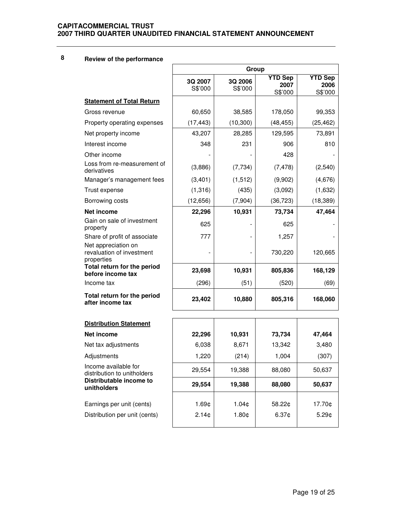# **CAPITACOMMERCIAL TRUST 2007 THIRD QUARTER UNAUDITED FINANCIAL STATEMENT ANNOUNCEMENT**

| 8 |  |  | Review of the performance |
|---|--|--|---------------------------|
|---|--|--|---------------------------|

|                                                                | Group              |                    |                                   |                                   |
|----------------------------------------------------------------|--------------------|--------------------|-----------------------------------|-----------------------------------|
|                                                                | 3Q 2007<br>S\$'000 | 3Q 2006<br>S\$'000 | <b>YTD Sep</b><br>2007<br>S\$'000 | <b>YTD Sep</b><br>2006<br>S\$'000 |
| <b>Statement of Total Return</b>                               |                    |                    |                                   |                                   |
| Gross revenue                                                  | 60,650             | 38,585             | 178,050                           | 99,353                            |
| Property operating expenses                                    | (17, 443)          | (10, 300)          | (48, 455)                         | (25, 462)                         |
| Net property income                                            | 43,207             | 28,285             | 129,595                           | 73,891                            |
| Interest income                                                | 348                | 231                | 906                               | 810                               |
| Other income                                                   |                    |                    | 428                               |                                   |
| Loss from re-measurement of<br>derivatives                     | (3,886)            | (7, 734)           | (7, 478)                          | (2,540)                           |
| Manager's management fees                                      | (3,401)            | (1, 512)           | (9,902)                           | (4,676)                           |
| Trust expense                                                  | (1,316)            | (435)              | (3,092)                           | (1,632)                           |
| Borrowing costs                                                | (12,656)           | (7,904)            | (36, 723)                         | (18, 389)                         |
| Net income                                                     | 22,296             | 10,931             | 73,734                            | 47,464                            |
| Gain on sale of investment<br>property                         | 625                |                    | 625                               |                                   |
| Share of profit of associate                                   | 777                |                    | 1,257                             |                                   |
| Net appreciation on<br>revaluation of investment<br>properties |                    |                    | 730,220                           | 120,665                           |
| Total return for the period<br>before income tax               | 23,698             | 10,931             | 805,836                           | 168,129                           |
| Income tax                                                     | (296)              | (51)               | (520)                             | (69)                              |
| Total return for the period<br>after income tax                | 23,402             | 10,880             | 805,316                           | 168,060                           |
| <b>Distribution Statement</b>                                  |                    |                    |                                   |                                   |
| Net income                                                     | 22,296             | 10,931             | 73,734                            | 47,464                            |
| Net tax adjustments                                            | 6,038              | 8,671              | 13,342                            | 3,480                             |
| Adjustments                                                    | 1,220              | (214)              | 1,004                             | (307)                             |
| Income available for<br>distribution to unitholders            | 29,554             | 19,388             | 88,080                            | 50,637                            |
| Distributable income to<br>unitholders                         | 29,554             | 19,388             | 88,080                            | 50,637                            |
| Earnings per unit (cents)                                      | 1.69¢              | 1.04¢              | 58.22¢                            | 17.70¢                            |
| Distribution per unit (cents)                                  | $2.14$ ¢           | 1.80¢              | 6.37¢                             | 5.29¢                             |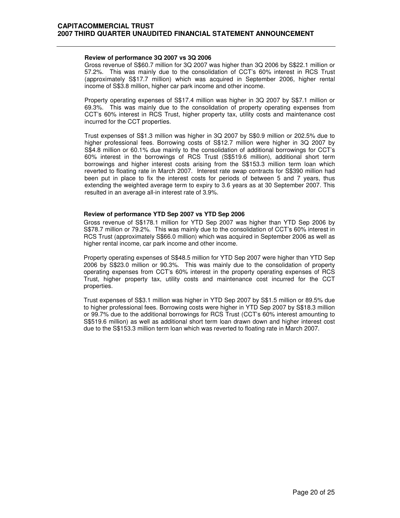#### **Review of performance 3Q 2007 vs 3Q 2006**

 Gross revenue of S\$60.7 million for 3Q 2007 was higher than 3Q 2006 by S\$22.1 million or 57.2%. This was mainly due to the consolidation of CCT's 60% interest in RCS Trust (approximately S\$17.7 million) which was acquired in September 2006, higher rental income of S\$3.8 million, higher car park income and other income.

Property operating expenses of S\$17.4 million was higher in 3Q 2007 by S\$7.1 million or 69.3%. This was mainly due to the consolidation of property operating expenses from CCT's 60% interest in RCS Trust, higher property tax, utility costs and maintenance cost incurred for the CCT properties.

Trust expenses of S\$1.3 million was higher in 3Q 2007 by S\$0.9 million or 202.5% due to higher professional fees. Borrowing costs of S\$12.7 million were higher in 3Q 2007 by S\$4.8 million or 60.1% due mainly to the consolidation of additional borrowings for CCT's 60% interest in the borrowings of RCS Trust (S\$519.6 million), additional short term borrowings and higher interest costs arising from the S\$153.3 million term loan which reverted to floating rate in March 2007. Interest rate swap contracts for S\$390 million had been put in place to fix the interest costs for periods of between 5 and 7 years, thus extending the weighted average term to expiry to 3.6 years as at 30 September 2007. This resulted in an average all-in interest rate of 3.9%.

#### **Review of performance YTD Sep 2007 vs YTD Sep 2006**

 Gross revenue of S\$178.1 million for YTD Sep 2007 was higher than YTD Sep 2006 by S\$78.7 million or 79.2%. This was mainly due to the consolidation of CCT's 60% interest in RCS Trust (approximately S\$66.0 million) which was acquired in September 2006 as well as higher rental income, car park income and other income.

Property operating expenses of S\$48.5 million for YTD Sep 2007 were higher than YTD Sep 2006 by S\$23.0 million or 90.3%. This was mainly due to the consolidation of property operating expenses from CCT's 60% interest in the property operating expenses of RCS Trust, higher property tax, utility costs and maintenance cost incurred for the CCT properties.

Trust expenses of S\$3.1 million was higher in YTD Sep 2007 by S\$1.5 million or 89.5% due to higher professional fees. Borrowing costs were higher in YTD Sep 2007 by S\$18.3 million or 99.7% due to the additional borrowings for RCS Trust (CCT's 60% interest amounting to S\$519.6 million) as well as additional short term loan drawn down and higher interest cost due to the S\$153.3 million term loan which was reverted to floating rate in March 2007.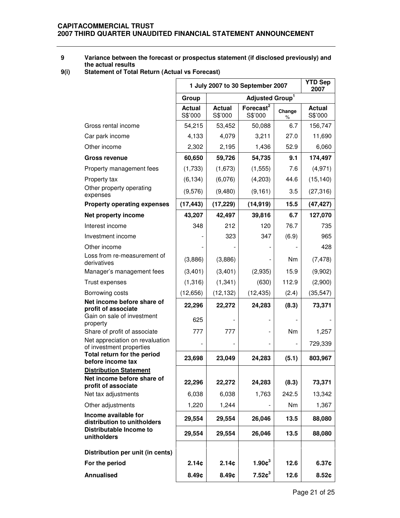# **9 Variance between the forecast or prospectus statement (if disclosed previously) and the actual results**

**9(i) Statement of Total Return (Actual vs Forecast)** 

|                                                             | 1 July 2007 to 30 September 2007 |                          |                                  |                | <b>YTD Sep</b><br>2007 |
|-------------------------------------------------------------|----------------------------------|--------------------------|----------------------------------|----------------|------------------------|
|                                                             | Group                            |                          | Adjusted Group <sup>1</sup>      |                |                        |
|                                                             | <b>Actual</b><br>S\$'000         | <b>Actual</b><br>S\$'000 | Forecast <sup>2</sup><br>S\$'000 | Change<br>%    | Actual<br>S\$'000      |
| Gross rental income                                         | 54,215                           | 53,452                   | 50,088                           | 6.7            | 156,747                |
| Car park income                                             | 4,133                            | 4,079                    | 3,211                            | 27.0           | 11,690                 |
| Other income                                                | 2,302                            | 2,195                    | 1,436                            | 52.9           | 6,060                  |
| <b>Gross revenue</b>                                        | 60,650                           | 59,726                   | 54,735                           | 9.1            | 174,497                |
| Property management fees                                    | (1,733)                          | (1,673)                  | (1, 555)                         | 7.6            | (4,971)                |
| Property tax                                                | (6, 134)                         | (6,076)                  | (4,203)                          | 44.6           | (15, 140)              |
| Other property operating<br>expenses                        | (9,576)                          | (9,480)                  | (9, 161)                         | 3.5            | (27, 316)              |
| <b>Property operating expenses</b>                          | (17, 443)                        | (17, 229)                | (14, 919)                        | 15.5           | (47, 427)              |
| Net property income                                         | 43,207                           | 42,497                   | 39,816                           | 6.7            | 127,070                |
| Interest income                                             | 348                              | 212                      | 120                              | 76.7           | 735                    |
| Investment income                                           |                                  | 323                      | 347                              | (6.9)          | 965                    |
| Other income                                                |                                  |                          |                                  |                | 428                    |
| Loss from re-measurement of<br>derivatives                  | (3,886)                          | (3,886)                  |                                  | N <sub>m</sub> | (7, 478)               |
| Manager's management fees                                   | (3,401)                          | (3,401)                  | (2,935)                          | 15.9           | (9,902)                |
| Trust expenses                                              | (1,316)                          | (1, 341)                 | (630)                            | 112.9          | (2,900)                |
| Borrowing costs                                             | (12, 656)                        | (12, 132)                | (12, 435)                        | (2.4)          | (35, 547)              |
| Net income before share of<br>profit of associate           | 22,296                           | 22,272                   | 24,283                           | (8.3)          | 73,371                 |
| Gain on sale of investment<br>property                      | 625                              |                          |                                  |                |                        |
| Share of profit of associate                                | 777                              | 777                      |                                  | Nm             | 1,257                  |
| Net appreciation on revaluation<br>of investment properties |                                  |                          |                                  |                | 729,339                |
| Total return for the period<br>before income tax            | 23,698                           | 23,049                   | 24,283                           | (5.1)          | 803,967                |
| <b>Distribution Statement</b>                               |                                  |                          |                                  |                |                        |
| Net income before share of<br>profit of associate           | 22,296                           | 22,272                   | 24,283                           | (8.3)          | 73,371                 |
| Net tax adjustments                                         | 6,038                            | 6,038                    | 1,763                            | 242.5          | 13,342                 |
| Other adjustments                                           | 1,220                            | 1,244                    |                                  | Nm             | 1,367                  |
| Income available for<br>distribution to unitholders         | 29,554                           | 29,554                   | 26,046                           | 13.5           | 88,080                 |
| Distributable Income to<br>unitholders                      | 29,554                           | 29,554                   | 26,046                           | 13.5           | 88,080                 |
| Distribution per unit (in cents)                            |                                  |                          |                                  |                |                        |
| For the period                                              | 2.14c                            | 2.14c                    | $1.90e^3$                        | 12.6           | 6.37c                  |
| <b>Annualised</b>                                           | 8.49c                            | 8.49c                    | $7.52e^3$                        | 12.6           | 8.52¢                  |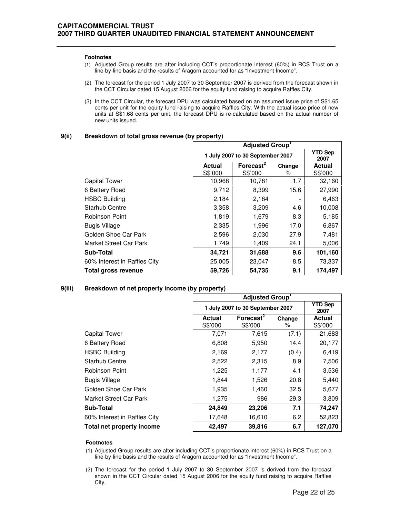#### **Footnotes**

- (1) Adjusted Group results are after including CCT's proportionate interest (60%) in RCS Trust on a line-by-line basis and the results of Aragorn accounted for as "Investment Income".
- (2) The forecast for the period 1 July 2007 to 30 September 2007 is derived from the forecast shown in the CCT Circular dated 15 August 2006 for the equity fund raising to acquire Raffles City.
- (3) In the CCT Circular, the forecast DPU was calculated based on an assumed issue price of S\$1.65 cents per unit for the equity fund raising to acquire Raffles City. With the actual issue price of new units at S\$1.68 cents per unit, the forecast DPU is re-calculated based on the actual number of new units issued.

#### **9(ii) Breakdown of total gross revenue (by property)**

|                              | <b>Adjusted Group</b><br><b>YTD Sep</b><br>1 July 2007 to 30 September 2007<br>2007 |                       |        |               |
|------------------------------|-------------------------------------------------------------------------------------|-----------------------|--------|---------------|
|                              |                                                                                     |                       |        |               |
|                              | <b>Actual</b>                                                                       | Forecast <sup>2</sup> | Change | <b>Actual</b> |
|                              | S\$'000                                                                             | S\$'000               | %      | S\$'000       |
| <b>Capital Tower</b>         | 10,968                                                                              | 10,781                | 1.7    | 32,160        |
| 6 Battery Road               | 9,712                                                                               | 8,399                 | 15.6   | 27,990        |
| <b>HSBC Building</b>         | 2,184                                                                               | 2,184                 |        | 6,463         |
| <b>Starhub Centre</b>        | 3,358                                                                               | 3,209                 | 4.6    | 10,008        |
| Robinson Point               | 1,819                                                                               | 1,679                 | 8.3    | 5,185         |
| <b>Bugis Village</b>         | 2,335                                                                               | 1,996                 | 17.0   | 6,867         |
| Golden Shoe Car Park         | 2,596                                                                               | 2,030                 | 27.9   | 7,481         |
| Market Street Car Park       | 1,749                                                                               | 1,409                 | 24.1   | 5,006         |
| Sub-Total                    | 34,721                                                                              | 31,688                | 9.6    | 101,160       |
| 60% Interest in Raffles City | 25,005                                                                              | 23,047                | 8.5    | 73,337        |
| <b>Total gross revenue</b>   | 59,726                                                                              | 54,735                | 9.1    | 174,497       |

### **9(iii) Breakdown of net property income (by property)**

|                              | <b>Adjusted Group</b>            |                                  |             |                        |
|------------------------------|----------------------------------|----------------------------------|-------------|------------------------|
|                              | 1 July 2007 to 30 September 2007 |                                  |             | <b>YTD Sep</b><br>2007 |
|                              | <b>Actual</b><br>S\$'000         | Forecast <sup>2</sup><br>S\$'000 | Change<br>% | Actual<br>S\$'000      |
| <b>Capital Tower</b>         | 7,071                            | 7,615                            | (7.1)       | 21,683                 |
| 6 Battery Road               | 6,808                            | 5,950                            | 14.4        | 20,177                 |
| <b>HSBC Building</b>         | 2,169                            | 2,177                            | (0.4)       | 6,419                  |
| <b>Starhub Centre</b>        | 2,522                            | 2,315                            | 8.9         | 7,506                  |
| <b>Robinson Point</b>        | 1,225                            | 1,177                            | 4.1         | 3,536                  |
| <b>Bugis Village</b>         | 1,844                            | 1,526                            | 20.8        | 5,440                  |
| Golden Shoe Car Park         | 1,935                            | 1,460                            | 32.5        | 5,677                  |
| Market Street Car Park       | 1,275                            | 986                              | 29.3        | 3,809                  |
| Sub-Total                    | 24,849                           | 23,206                           | 7.1         | 74,247                 |
| 60% Interest in Raffles City | 17,648                           | 16,610                           | 6.2         | 52,823                 |
| Total net property income    | 42,497                           | 39,816                           | 6.7         | 127,070                |

### **Footnotes**

- (1) Adjusted Group results are after including CCT's proportionate interest (60%) in RCS Trust on a line-by-line basis and the results of Aragorn accounted for as "Investment Income".
- (2) The forecast for the period 1 July 2007 to 30 September 2007 is derived from the forecast shown in the CCT Circular dated 15 August 2006 for the equity fund raising to acquire Raffles City.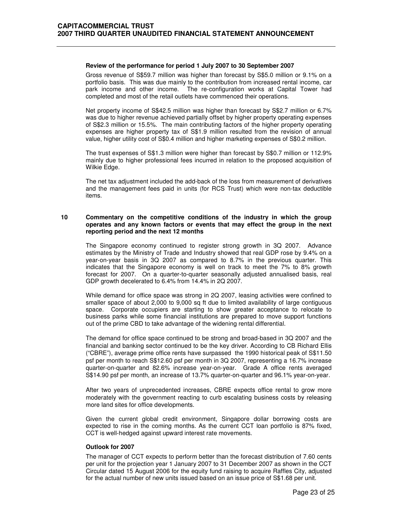#### **Review of the performance for period 1 July 2007 to 30 September 2007**

 Gross revenue of S\$59.7 million was higher than forecast by S\$5.0 million or 9.1% on a portfolio basis. This was due mainly to the contribution from increased rental income, car park income and other income. The re-configuration works at Capital Tower had completed and most of the retail outlets have commenced their operations.

Net property income of S\$42.5 million was higher than forecast by S\$2.7 million or 6.7% was due to higher revenue achieved partially offset by higher property operating expenses of S\$2.3 million or 15.5%. The main contributing factors of the higher property operating expenses are higher property tax of S\$1.9 million resulted from the revision of annual value, higher utility cost of S\$0.4 million and higher marketing expenses of S\$0.2 million.

The trust expenses of S\$1.3 million were higher than forecast by S\$0.7 million or 112.9% mainly due to higher professional fees incurred in relation to the proposed acquisition of Wilkie Edge.

The net tax adjustment included the add-back of the loss from measurement of derivatives and the management fees paid in units (for RCS Trust) which were non-tax deductible items.

#### **10 Commentary on the competitive conditions of the industry in which the group operates and any known factors or events that may effect the group in the next reporting period and the next 12 months**

 The Singapore economy continued to register strong growth in 3Q 2007. Advance estimates by the Ministry of Trade and Industry showed that real GDP rose by 9.4% on a year-on-year basis in 3Q 2007 as compared to 8.7% in the previous quarter. This indicates that the Singapore economy is well on track to meet the 7% to 8% growth forecast for 2007. On a quarter-to-quarter seasonally adjusted annualised basis, real GDP growth decelerated to 6.4% from 14.4% in 2Q 2007.

While demand for office space was strong in 2Q 2007, leasing activities were confined to smaller space of about 2,000 to 9,000 sq ft due to limited availability of large contiguous space. Corporate occupiers are starting to show greater acceptance to relocate to business parks while some financial institutions are prepared to move support functions out of the prime CBD to take advantage of the widening rental differential.

The demand for office space continued to be strong and broad-based in 3Q 2007 and the financial and banking sector continued to be the key driver. According to CB Richard Ellis ("CBRE"), average prime office rents have surpassed the 1990 historical peak of S\$11.50 psf per month to reach S\$12.60 psf per month in 3Q 2007, representing a 16.7% increase quarter-on-quarter and 82.6% increase year-on-year. Grade A office rents averaged S\$14.90 psf per month, an increase of 13.7% quarter-on-quarter and 96.1% year-on-year.

After two years of unprecedented increases, CBRE expects office rental to grow more moderately with the government reacting to curb escalating business costs by releasing more land sites for office developments.

Given the current global credit environment, Singapore dollar borrowing costs are expected to rise in the coming months. As the current CCT loan portfolio is 87% fixed, CCT is well-hedged against upward interest rate movements.

#### **Outlook for 2007**

 The manager of CCT expects to perform better than the forecast distribution of 7.60 cents per unit for the projection year 1 January 2007 to 31 December 2007 as shown in the CCT Circular dated 15 August 2006 for the equity fund raising to acquire Raffles City, adjusted for the actual number of new units issued based on an issue price of S\$1.68 per unit.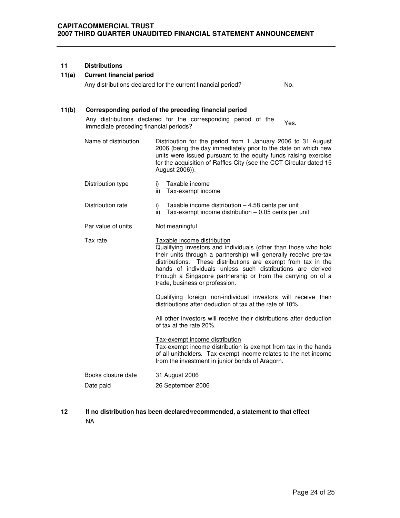### **11 Distributions**

#### **11(a) Current financial period**

Any distributions declared for the current financial period? No.

### **11(b) Corresponding period of the preceding financial period**

Any distributions declared for the corresponding period of the Any distributions declared for the corresponding period of the Yes.<br>immediate preceding financial periods?

- Name of distribution Distribution for the period from 1 January 2006 to 31 August 2006 (being the day immediately prior to the date on which new units were issued pursuant to the equity funds raising exercise for the acquisition of Raffles City (see the CCT Circular dated 15 August 2006)).
- Distribution type i) Taxable income ii) Tax-exempt income Distribution rate i) Taxable income distribution – 4.58 cents per unit ii) Tax-exempt income distribution – 0.05 cents per unit Par value of units Not meaningful Tax rate Taxable income distribution Qualifying investors and individuals (other than those who hold their units through a partnership) will generally receive pre-tax distributions. These distributions are exempt from tax in the hands of individuals unless such distributions are derived through a Singapore partnership or from the carrying on of a trade, business or profession. Qualifying foreign non-individual investors will receive their distributions after deduction of tax at the rate of 10%. All other investors will receive their distributions after deduction of tax at the rate 20%. Tax-exempt income distribution

Tax-exempt income distribution is exempt from tax in the hands of all unitholders. Tax-exempt income relates to the net income from the investment in junior bonds of Aragorn.

| Books closure date | 31 August 2006    |
|--------------------|-------------------|
| Date paid          | 26 September 2006 |

**12 If no distribution has been declared/recommended, a statement to that effect**  NA